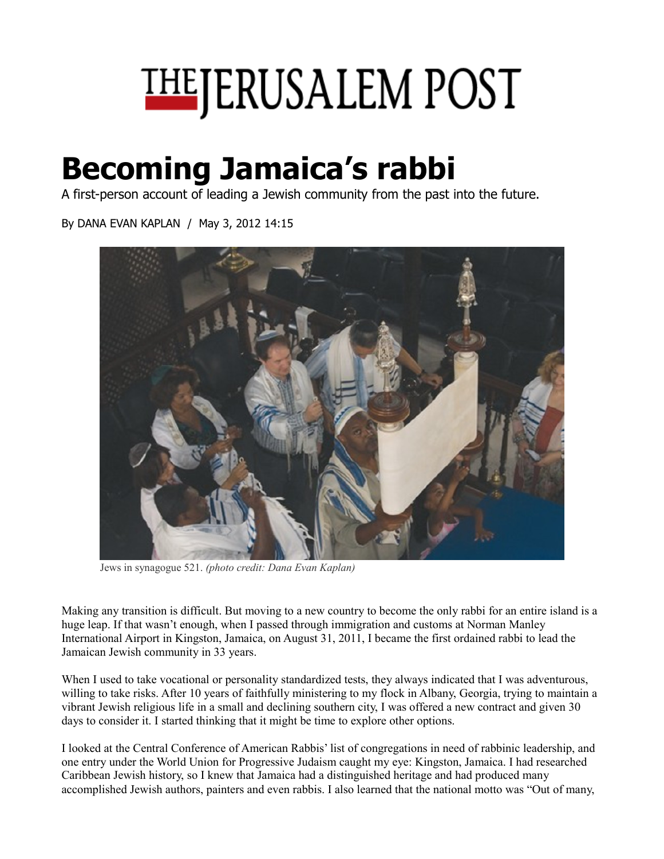

## **Becoming Jamaica's rabbi**

A first-person account of leading a Jewish community from the past into the future.

By DANA EVAN KAPLAN / May 3, 2012 14:15



Jews in synagogue 521. *(photo credit: Dana Evan Kaplan)* 

Making any transition is difficult. But moving to a new country to become the only rabbi for an entire island is a huge leap. If that wasn't enough, when I passed through immigration and customs at Norman Manley International Airport in Kingston, Jamaica, on August 31, 2011, I became the first ordained rabbi to lead the Jamaican Jewish community in 33 years.

When I used to take vocational or personality standardized tests, they always indicated that I was adventurous, willing to take risks. After 10 years of faithfully ministering to my flock in Albany, Georgia, trying to maintain a vibrant Jewish religious life in a small and declining southern city, I was offered a new contract and given 30 days to consider it. I started thinking that it might be time to explore other options.

I looked at the Central Conference of American Rabbis' list of congregations in need of rabbinic leadership, and one entry under the World Union for Progressive Judaism caught my eye: Kingston, Jamaica. I had researched Caribbean Jewish history, so I knew that Jamaica had a distinguished heritage and had produced many accomplished Jewish authors, painters and even rabbis. I also learned that the national motto was "Out of many,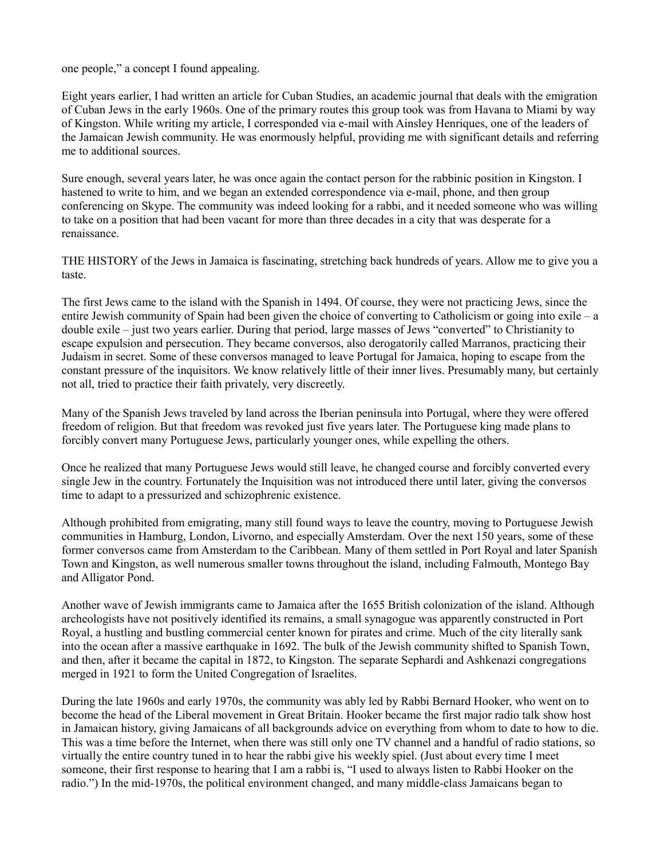one people," a concept I found appealing.

Eight years earlier, I had written an article for Cuban Studies, an academic journal that deals with the emigration of Cuban Jews in the early 1960s. One of the primary routes this group took was from Havana to Miami by way of Kingston. While writing my article, I corresponded via e-mail with Ainsley Henriques, one of the leaders of the Jamaican Jewish community. He was enormously helpful, providing me with significant details and referring me to additional sources.

Sure enough, several years later, he was once again the contact person for the rabbinic position in Kingston. I hastened to write to him, and we began an extended correspondence via e-mail, phone, and then group conferencing on Skype. The community was indeed looking for a rabbi, and it needed someone who was willing to take on a position that had been vacant for more than three decades in a city that was desperate for a renaissance.

THE HISTORY of the Jews in Jamaica is fascinating, stretching back hundreds of years. Allow me to give you a taste.

The first Jews came to the island with the Spanish in 1494. Of course, they were not practicing Jews, since the entire Jewish community of Spain had been given the choice of converting to Catholicism or going into exile – a double exile – just two years earlier. During that period, large masses of Jews "converted" to Christianity to escape expulsion and persecution. They became conversos, also derogatorily called Marranos, practicing their Judaism in secret. Some of these conversos managed to leave Portugal for Jamaica, hoping to escape from the constant pressure of the inquisitors. We know relatively little of their inner lives. Presumably many, but certainly not all, tried to practice their faith privately, very discreetly.

Many of the Spanish Jews traveled by land across the Iberian peninsula into Portugal, where they were offered freedom of religion. But that freedom was revoked just five years later. The Portuguese king made plans to forcibly convert many Portuguese Jews, particularly younger ones, while expelling the others.

Once he realized that many Portuguese Jews would still leave, he changed course and forcibly converted every single Jew in the country. Fortunately the Inquisition was not introduced there until later, giving the conversos time to adapt to a pressurized and schizophrenic existence.

Although prohibited from emigrating, many still found ways to leave the country, moving to Portuguese Jewish communities in Hamburg, London, Livorno, and especially Amsterdam. Over the next 150 years, some of these former conversos came from Amsterdam to the Caribbean. Many of them settled in Port Royal and later Spanish Town and Kingston, as well numerous smaller towns throughout the island, including Falmouth, Montego Bay and Alligator Pond.

Another wave of Jewish immigrants came to Jamaica after the 1655 British colonization of the island. Although archeologists have not positively identified its remains, a small synagogue was apparently constructed in Port Royal, a hustling and bustling commercial center known for pirates and crime. Much of the city literally sank into the ocean after a massive earthquake in 1692. The bulk of the Jewish community shifted to Spanish Town, and then, after it became the capital in 1872, to Kingston. The separate Sephardi and Ashkenazi congregations merged in 1921 to form the United Congregation of Israelites.

During the late 1960s and early 1970s, the community was ably led by Rabbi Bernard Hooker, who went on to become the head of the Liberal movement in Great Britain. Hooker became the first major radio talk show host in Jamaican history, giving Jamaicans of all backgrounds advice on everything from whom to date to how to die. This was a time before the Internet, when there was still only one TV channel and a handful of radio stations, so virtually the entire country tuned in to hear the rabbi give his weekly spiel. (Just about every time I meet someone, their first response to hearing that I am a rabbi is, "I used to always listen to Rabbi Hooker on the radio.") In the mid-1970s, the political environment changed, and many middle-class Jamaicans began to